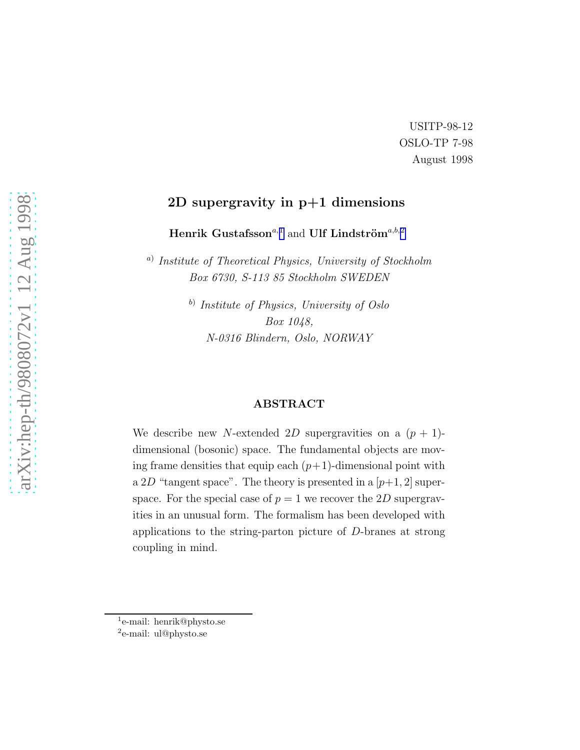#### USITP-98-12 OSLO-TP 7-98 August 1998

#### 2D supergravity in p+1 dimensions

Henrik Gustafsson<br/> $a,1}$  and Ulf Lindström $\sp{a,b,2}$ 

<sup>a)</sup> Institute of Theoretical Physics, University of Stockholm Box 6730, S-113 85 Stockholm SWEDEN

> <sup>b)</sup> Institute of Physics, University of Oslo Box 1048, N-0316 Blindern, Oslo, NORWAY

#### ABSTRACT

We describe new N-extended 2D supergravities on a  $(p + 1)$ dimensional (bosonic) space. The fundamental objects are moving frame densities that equip each  $(p+1)$ -dimensional point with a 2D "tangent space". The theory is presented in a  $[p+1, 2]$  superspace. For the special case of  $p = 1$  we recover the 2D supergravities in an unusual form. The formalism has been developed with applications to the string-parton picture of D-branes at strong coupling in mind.

<sup>1</sup> e-mail: henrik@physto.se

<sup>2</sup> e-mail: ul@physto.se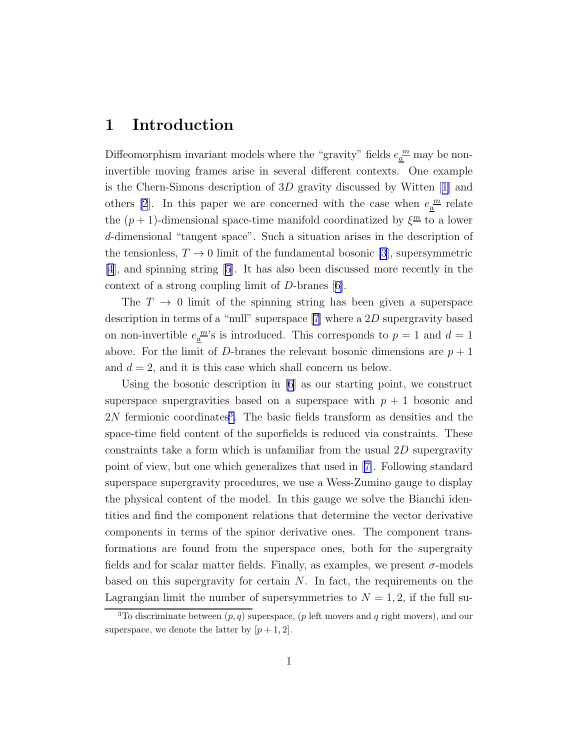#### 1 Introduction

Diffeomorphism invariant models where the "gravity" fields  $e_{\underline{a}}^{\underline{m}}$  may be noninvertible moving frames arise in several different contexts. One example is the Chern-Simons description of 3D gravity discussed by Witten[[1\]](#page-16-0) and others [\[2](#page-16-0)]. In this paper we are concerned with the case when  $e_{\underline{a}}^{\underline{m}}$  relate the  $(p+1)$ -dimensional space-time manifold coordinatized by  $\xi^{\underline{m}}$  to a lower d-dimensional "tangent space". Such a situation arises in the description of the tensionless,  $T \to 0$  limit of the fundamental bosonic [\[3](#page-16-0)], supersymmetric [\[4\]](#page-16-0), and spinning string [\[5](#page-16-0)]. It has also been discussed more recently in the context of a strong coupling limit of D-branes[[6\]](#page-16-0).

The  $T \to 0$  limit of the spinning string has been given a superspace description in terms of a "null" superspace [\[7](#page-16-0)] where a 2D supergravity based on non-invertible  $e_{\underline{a}}^{\underline{m}}$ 's is introduced. This corresponds to  $p = 1$  and  $d = 1$ above. For the limit of D-branes the relevant bosonic dimensions are  $p+1$ and  $d = 2$ , and it is this case which shall concern us below.

Using the bosonic description in [\[6\]](#page-16-0) as our starting point, we construct superspace supergravities based on a superspace with  $p + 1$  bosonic and 2N fermionic coordinates<sup>3</sup>. The basic fields transform as densities and the space-time field content of the superfields is reduced via constraints. These constraints take a form which is unfamiliar from the usual  $2D$  supergravity point of view, but one which generalizes that used in[[7\]](#page-16-0). Following standard superspace supergravity procedures, we use a Wess-Zumino gauge to display the physical content of the model. In this gauge we solve the Bianchi identities and find the component relations that determine the vector derivative components in terms of the spinor derivative ones. The component transformations are found from the superspace ones, both for the supergraity fields and for scalar matter fields. Finally, as examples, we present  $\sigma$ -models based on this supergravity for certain N. In fact, the requirements on the Lagrangian limit the number of supersymmetries to  $N = 1, 2$ , if the full su-

<sup>&</sup>lt;sup>3</sup>To discriminate between  $(p, q)$  superspace,  $(p \text{ left moves and } q \text{ right moves})$ , and our superspace, we denote the latter by  $[p+1, 2]$ .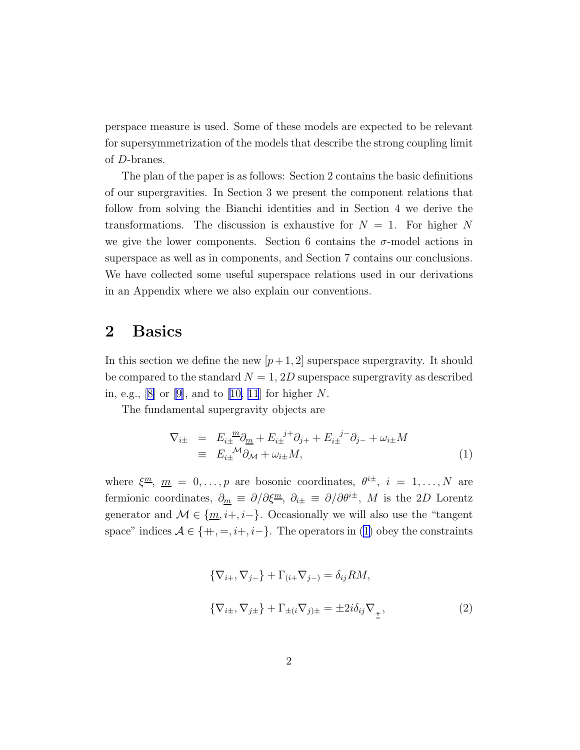<span id="page-2-0"></span>perspace measure is used. Some of these models are expected to be relevant for supersymmetrization of the models that describe the strong coupling limit of D-branes.

The plan of the paper is as follows: Section 2 contains the basic definitions of our supergravities. In Section 3 we present the component relations that follow from solving the Bianchi identities and in Section 4 we derive the transformations. The discussion is exhaustive for  $N = 1$ . For higher N we give the lower components. Section 6 contains the  $\sigma$ -model actions in superspace as well as in components, and Section 7 contains our conclusions. We have collected some useful superspace relations used in our derivations in an Appendix where we also explain our conventions.

## 2 Basics

In this section we define the new  $[p+1, 2]$  superspace supergravity. It should be compared to the standard  $N = 1, 2D$  superspace supergravity as described in,e.g.,  $[8]$  $[8]$  or  $[9]$ , and to  $[10, 11]$  $[10, 11]$  $[10, 11]$  for higher N.

The fundamental supergravity objects are

$$
\nabla_{i\pm} = E_{i\pm}^{\ \ m}\partial_{\underline{m}} + E_{i\pm}^{\ \ j+\} \partial_{j+} + E_{i\pm}^{\ \ j-\} \partial_{j-} + \omega_{i\pm} M
$$
\n
$$
\equiv E_{i\pm}^{\ \ \mathcal{M}} \partial_{\mathcal{M}} + \omega_{i\pm} M,
$$
\n(1)

where  $\xi^{\underline{m}}$ ,  $\underline{m} = 0, \ldots, p$  are bosonic coordinates,  $\theta^{i\pm}$ ,  $i = 1, \ldots, N$  are fermionic coordinates,  $\partial_{\underline{m}} \equiv \partial/\partial \xi^{\underline{m}}$ ,  $\partial_{i\pm} \equiv \partial/\partial \theta^{i\pm}$ , M is the 2D Lorentz generator and  $\mathcal{M} \in \{m, i+, i-\}$ . Occasionally we will also use the "tangent" space" indices  $A \in \{+, =, i+, i-\}$ . The operators in (1) obey the constraints

$$
\{\nabla_{i+}, \nabla_{j-}\} + \Gamma_{(i+} \nabla_{j-}) = \delta_{ij} RM,
$$
  

$$
\{\nabla_{i\pm}, \nabla_{j\pm}\} + \Gamma_{\pm (i} \nabla_{j)\pm} = \pm 2i \delta_{ij} \nabla_{\pm},
$$
 (2)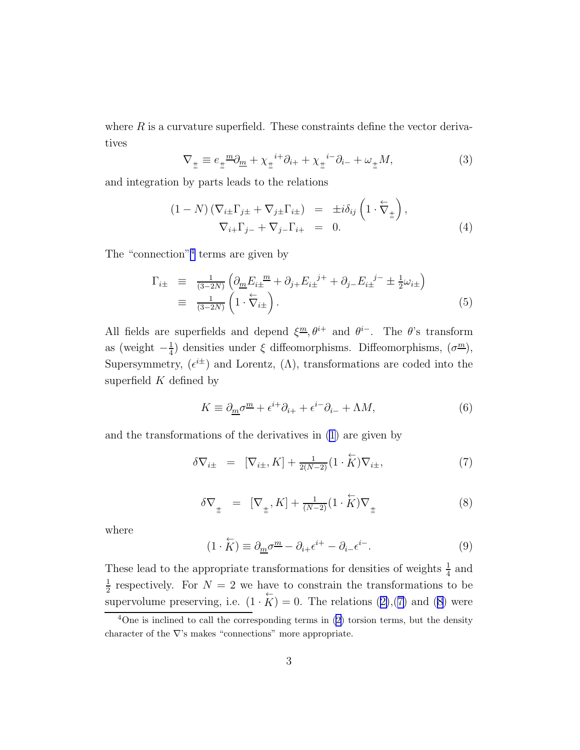<span id="page-3-0"></span>where  $R$  is a curvature superfield. These constraints define the vector derivatives

$$
\nabla_{\underline{\pm}} \equiv e_{\underline{\pm}} \underline{\omega}_{m} + \chi_{\underline{\pm}} \underline{\omega}_{i+} + \chi_{\underline{\pm}} \underline{\omega}_{i+} + \omega_{\underline{\pm}} M, \tag{3}
$$

and integration by parts leads to the relations

$$
(1 - N) \left( \nabla_{i \pm} \Gamma_{j \pm} + \nabla_{j \pm} \Gamma_{i \pm} \right) = \pm i \delta_{ij} \left( 1 \cdot \overleftarrow{\nabla}_{\pm} \right),
$$
  
\n
$$
\nabla_{i +} \Gamma_{j -} + \nabla_{j -} \Gamma_{i +} = 0.
$$
\n(4)

The "connection"<sup>4</sup> terms are given by

$$
\Gamma_{i\pm} \equiv \frac{1}{(3-2N)} \left( \partial_{\underline{m}} E_{i\pm}^{\ \underline{m}} + \partial_{j+} E_{i\pm}^{\ \underline{j+}} + \partial_{j-} E_{i\pm}^{\ \underline{j-}} \pm \frac{1}{2} \omega_{i\pm} \right)
$$
\n
$$
\equiv \frac{1}{(3-2N)} \left( 1 \cdot \nabla_{i\pm} \right). \tag{5}
$$

All fields are superfields and depend  $\xi^m, \theta^{i+}$  and  $\theta^{i-}$ . The  $\theta$ 's transform as (weight  $-\frac{1}{4}$  $\frac{1}{4}$ ) densities under  $\xi$  diffeomorphisms. Diffeomorphisms,  $(\sigma^{\underline{m}})$ , Supersymmetry,  $(\epsilon^{i\pm})$  and Lorentz,  $(\Lambda)$ , transformations are coded into the superfield  $K$  defined by

$$
K \equiv \partial_{\underline{m}} \sigma^{\underline{m}} + \epsilon^{i+} \partial_{i+} + \epsilon^{i-} \partial_{i-} + \Lambda M,\tag{6}
$$

and the transformations of the derivatives in [\(1](#page-2-0)) are given by

$$
\delta \nabla_{i\pm} = [\nabla_{i\pm}, K] + \frac{1}{2(N-2)} (1 \cdot \overleftrightarrow{K}) \nabla_{i\pm}, \tag{7}
$$

$$
\delta \nabla_{\underline{\pm}} = [\nabla_{\underline{\pm}}, K] + \frac{1}{(N-2)} (1 \cdot \overleftrightarrow{K}) \nabla_{\underline{\pm}} \tag{8}
$$

where

$$
(1 \cdot \overleftrightarrow{K}) \equiv \partial_{\underline{m}} \sigma^{\underline{m}} - \partial_{i+} \epsilon^{i+} - \partial_{i-} \epsilon^{i-}.
$$
 (9)

These lead to the appropriate transformations for densities of weights  $\frac{1}{4}$  and 1  $\frac{1}{2}$  respectively. For  $N = 2$  we have to constrain the transformations to be supervolumepreserving, i.e.  $(1 \cdot \overleftrightarrow{K}) = 0$ . The relations  $(2),(7)$  $(2),(7)$  $(2),(7)$  and  $(8)$  were

 $4$ Oneis inclined to call the corresponding terms in ([2\)](#page-2-0) torsion terms, but the density character of the  $\nabla$ 's makes "connections" more appropriate.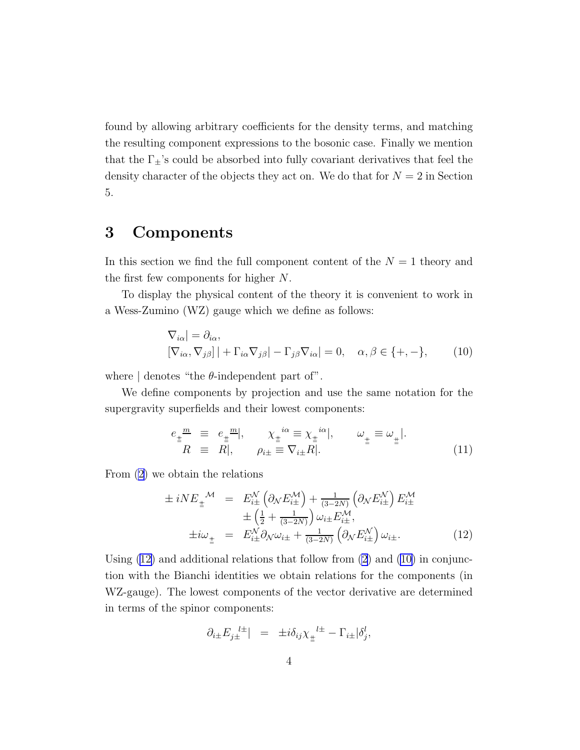<span id="page-4-0"></span>found by allowing arbitrary coefficients for the density terms, and matching the resulting component expressions to the bosonic case. Finally we mention that the  $\Gamma_{\pm}$ 's could be absorbed into fully covariant derivatives that feel the density character of the objects they act on. We do that for  $N = 2$  in Section 5.

## 3 Components

In this section we find the full component content of the  $N = 1$  theory and the first few components for higher N.

To display the physical content of the theory it is convenient to work in a Wess-Zumino (WZ) gauge which we define as follows:

$$
\nabla_{i\alpha}| = \partial_{i\alpha},
$$
  
\n
$$
[\nabla_{i\alpha}, \nabla_{j\beta}] | + \Gamma_{i\alpha} \nabla_{j\beta}| - \Gamma_{j\beta} \nabla_{i\alpha}| = 0, \quad \alpha, \beta \in \{+, -\},
$$
 (10)

where  $\vert$  denotes "the  $\theta$ -independent part of".

We define components by projection and use the same notation for the supergravity superfields and their lowest components:

$$
e_{\pm}^{\mu} \equiv e_{\pm}^{\mu} \equiv, \quad \chi_{\pm}^{i\alpha} \equiv \chi_{\pm}^{i\alpha} \mid, \qquad \omega_{\pm} \equiv \omega_{\pm} \mid.
$$
  
\n
$$
R \equiv R \mid, \qquad \rho_{i\pm} \equiv \nabla_{i\pm} R \mid. \qquad \omega_{\pm} \equiv \omega_{\pm} \mid. \tag{11}
$$

From [\(2](#page-2-0)) we obtain the relations

$$
\pm iNE_{\pm}^{\mathcal{M}} = E_{i\pm}^{\mathcal{N}} \left( \partial_{\mathcal{N}} E_{i\pm}^{\mathcal{M}} \right) + \frac{1}{(3-2N)} \left( \partial_{\mathcal{N}} E_{i\pm}^{\mathcal{N}} \right) E_{i\pm}^{\mathcal{M}} \n\pm \left( \frac{1}{2} + \frac{1}{(3-2N)} \right) \omega_{i\pm} E_{i\pm}^{\mathcal{M}}, \n\pm i\omega_{\pm} = E_{i\pm}^{\mathcal{N}} \partial_{\mathcal{N}} \omega_{i\pm} + \frac{1}{(3-2N)} \left( \partial_{\mathcal{N}} E_{i\pm}^{\mathcal{N}} \right) \omega_{i\pm}.
$$
\n(12)

Using  $(12)$  and additional relations that follow from  $(2)$  and  $(10)$  in conjunction with the Bianchi identities we obtain relations for the components (in WZ-gauge). The lowest components of the vector derivative are determined in terms of the spinor components:

$$
\partial_{i\pm}E_{j\pm}^{~~l\pm}|\ =\ \pm i\delta_{ij}\chi_{\pm}^{~~l\pm}-\Gamma_{i\pm}|\delta_j^l,
$$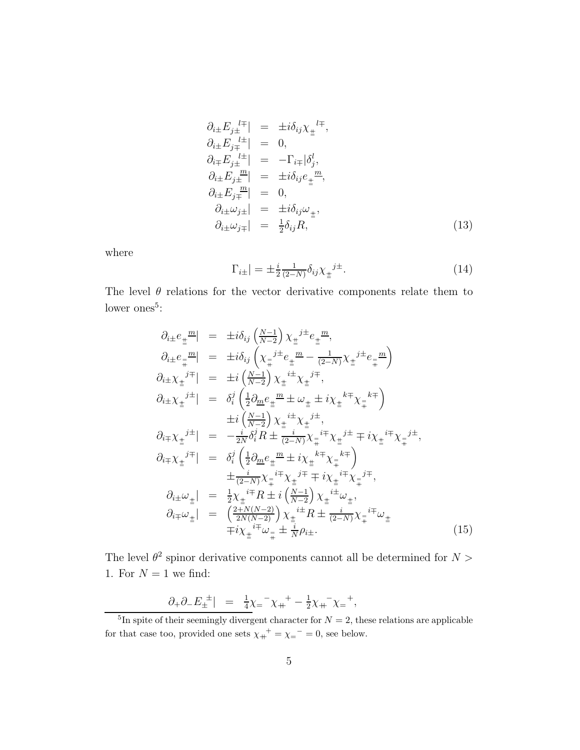<span id="page-5-0"></span>
$$
\partial_{i\pm} E_{j\pm}^{l\mp} \Big| = \pm i \delta_{ij} \chi_{\pm}^{l\mp},
$$
\n
$$
\partial_{i\pm} E_{j\mp}^{l\pm} \Big| = 0,
$$
\n
$$
\partial_{i\mp} E_{j\pm}^{l\pm} \Big| = -\Gamma_{i\mp} |\delta_j^l,
$$
\n
$$
\partial_{i\pm} E_{j\pm}^{l\pm} \Big| = \pm i \delta_{ij} e_{\pm}^{l\pm},
$$
\n
$$
\partial_{i\pm} E_{j\mp}^{l\pm} \Big| = 0,
$$
\n
$$
\partial_{i\pm} \omega_{j\pm} \Big| = \pm i \delta_{ij} \omega_{\pm},
$$
\n
$$
\partial_{i\pm} \omega_{j\mp} \Big| = \pm i \delta_{ij} \omega_{\pm},
$$
\n
$$
\partial_{i\pm} \omega_{j\mp} \Big| = \frac{1}{2} \delta_{ij} R,
$$
\n(13)

where

$$
\Gamma_{i\pm}| = \pm \frac{i}{2} \frac{1}{(2-N)} \delta_{ij} \chi_{\pm}^{j\pm}.
$$
 (14)

The level  $\theta$  relations for the vector derivative components relate them to lower ones<sup>5</sup>:

$$
\partial_{i\pm}e_{\pm}{}^{m}| = \pm i\delta_{ij} \left(\frac{N-1}{N-2}\right) \chi_{\pm}{}^{j\pm}e_{\pm}{}^{m},
$$
\n
$$
\partial_{i\pm}e_{\mp}{}^{m}| = \pm i\delta_{ij} \left(\chi_{\mp}{}^{j\pm}e_{\pm}{}^{m}-\frac{1}{(2-N)}\chi_{\pm}{}^{j\pm}e_{\mp}{}^{m}\right)
$$
\n
$$
\partial_{i\pm}\chi_{\pm}{}^{j\mp}| = \pm i \left(\frac{N-1}{N-2}\right) \chi_{\pm}{}^{i\pm}\chi_{\pm}{}^{j\mp},
$$
\n
$$
\partial_{i\pm}\chi_{\pm}{}^{j\pm}| = \delta_{i}^{j} \left(\frac{1}{2}\partial_{m}e_{\pm}{}^{m}\pm\omega_{\pm}\pm i\chi_{\pm}{}^{k\mp}\chi_{\mp}{}^{k\mp}\right)
$$
\n
$$
\pm i \left(\frac{N-1}{N-2}\right) \chi_{\pm}{}^{i\pm}\chi_{\pm}{}^{j\pm},
$$
\n
$$
\partial_{i\mp}\chi_{\pm}{}^{j\pm}| = -\frac{i}{2N}\delta_{i}^{j}R \pm \frac{i}{(2-N)}\chi_{\mp}{}^{i\mp}\chi_{\pm}{}^{j\pm}\mp i\chi_{\pm}{}^{i\mp}\chi_{\mp}{}^{j\pm},
$$
\n
$$
\partial_{i\mp}\chi_{\pm}{}^{j\mp}| = \delta_{i}^{j} \left(\frac{1}{2}\partial_{m}e_{\pm}{}^{m}\pm i\chi_{\pm}{}^{k\mp}\chi_{\pm}{}^{j\pm}\right) \pm \frac{i}{(2-N)}\chi_{\mp}{}^{i\mp}\chi_{\pm}{}^{i\mp}\chi_{\mp}{}^{k\mp},
$$
\n
$$
\partial_{i\pm}\omega_{\pm}| = \frac{1}{2}\chi_{\pm}{}^{i\mp}R \pm i \left(\frac{N-1}{N-2}\right) \chi_{\pm}{}^{i\pm}\omega_{\pm},
$$
\n
$$
\partial_{i\mp}\omega_{\pm}| = \left(\frac{2+N(N-2)}{2N(N-2)}\right) \chi_{\pm}{}^{i\pm}R \pm \frac{i}{(2-N)}\chi_{\mp}{}^{i\mp}\omega_{\pm}
$$
\n
$$
\pm i
$$

The level  $\theta^2$  spinor derivative components cannot all be determined for  $N >$ 1. For  $N = 1$  we find:

$$
\frac{\partial_+ \partial_- E_{\pm}^{\ \pm}}{|E_{\pm}^+|} = \frac{1}{4} \chi_{\pm}^- \chi_{\pm}^+ - \frac{1}{2} \chi_{\pm}^- \chi_{\pm}^-,
$$

<sup>&</sup>lt;sup>5</sup>In spite of their seemingly divergent character for  $N = 2$ , these relations are applicable for that case too, provided one sets  $\chi_{+}^{+} = \chi_{-}^{-} = 0$ , see below.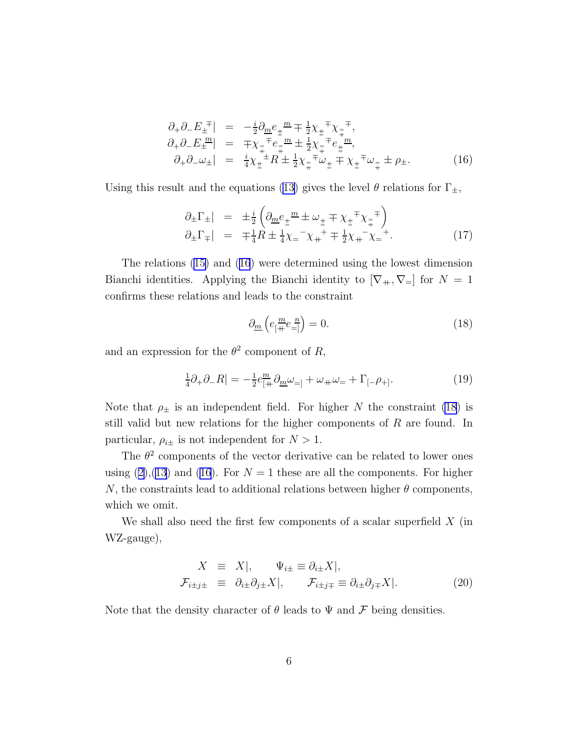<span id="page-6-0"></span>
$$
\partial_{+}\partial_{-}E_{\pm}^{\ \mp}| = -\frac{i}{2}\partial_{\underline{m}}e_{\pm}^{\ \underline{m}}\mp\frac{1}{2}\chi_{\pm}^{\ \mp}\chi_{\mp}^{\ \mp},
$$
\n
$$
\partial_{+}\partial_{-}E_{\pm}^{\ \underline{m}}| = \mp\chi_{\mp}^{\ \mp}e_{\mp}^{\ \underline{m}}\pm\frac{1}{2}\chi_{\mp}^{\ \mp}e_{\pm}^{\ \underline{m}},
$$
\n
$$
\partial_{+}\partial_{-}\omega_{\pm}| = \frac{i}{4}\chi_{\pm}^{\ \pm}R\pm\frac{1}{2}\chi_{\mp}^{\ \mp}\omega_{\pm}\mp\chi_{\pm}^{\ \mp}\omega_{\mp}\pm\rho_{\pm}.
$$
\n(16)

Using this result and the equations [\(13\)](#page-4-0) gives the level  $\theta$  relations for  $\Gamma_{\pm}$ ,

$$
\partial_{\pm} \Gamma_{\pm}| = \pm \frac{i}{2} \left( \partial_{\underline{m}} e_{\pm}{}^{\underline{m}} \pm \omega_{\pm} \mp \chi_{\pm}{}^{\mp} \chi_{\mp}{}^{\mp} \right) \n\partial_{\pm} \Gamma_{\mp}| = \mp \frac{1}{4} R \pm \frac{1}{4} \chi_{\mp}{}^{-} \chi_{\mp}{}^{+} \mp \frac{1}{2} \chi_{\mp}{}^{-} \chi_{\mp}{}^{+}.
$$
\n(17)

The relations([15\)](#page-5-0) and([16](#page-5-0)) were determined using the lowest dimension Bianchi identities. Applying the Bianchi identity to  $[\nabla_+, \nabla_+]$  for  $N = 1$ confirms these relations and leads to the constraint

$$
\partial_{\underline{m}}\left(e_{\left[\frac{m}{+}}e_{=\right]}^{\underline{n}}\right) = 0.\tag{18}
$$

and an expression for the  $\theta^2$  component of R,

$$
\frac{1}{4}\partial_{+}\partial_{-}R| = -\frac{1}{2}e_{[+}^{m}\partial_{m}\omega_{=]} + \omega_{+}\omega_{=} + \Gamma_{[-}\rho_{+]}.
$$
\n(19)

Note that  $\rho_{\pm}$  is an independent field. For higher N the constraint (18) is still valid but new relations for the higher components of R are found. In particular,  $\rho_{i\pm}$  is not independent for  $N > 1$ .

The  $\theta^2$  components of the vector derivative can be related to lower ones using $(2),(13)$  $(2),(13)$  $(2),(13)$  $(2),(13)$  and  $(16)$ . For  $N=1$  these are all the components. For higher N, the constraints lead to additional relations between higher  $\theta$  components, which we omit.

We shall also need the first few components of a scalar superfield  $X$  (in WZ-gauge),

$$
X \equiv X|, \quad \Psi_{i\pm} \equiv \partial_{i\pm} X|, \n\mathcal{F}_{i\pm j\pm} \equiv \partial_{i\pm} \partial_{j\pm} X|, \quad \mathcal{F}_{i\pm j\mp} \equiv \partial_{i\pm} \partial_{j\mp} X|.
$$
\n(20)

Note that the density character of  $\theta$  leads to  $\Psi$  and  $\mathcal F$  being densities.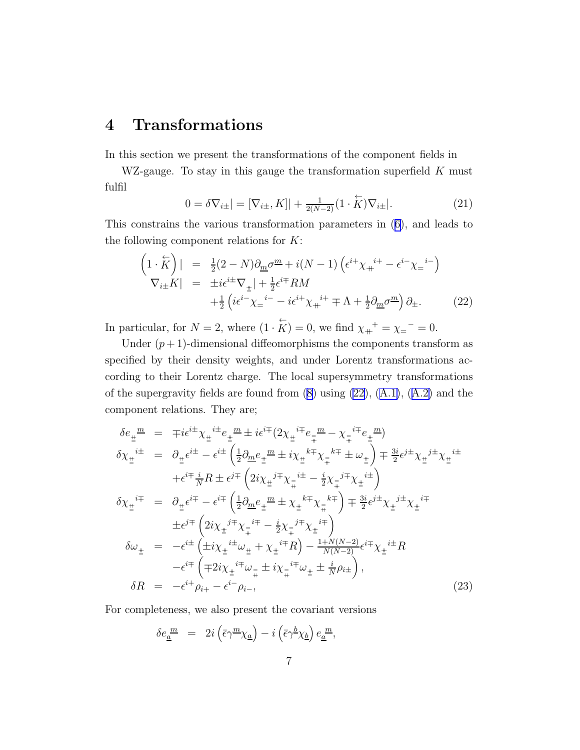## <span id="page-7-0"></span>4 Transformations

In this section we present the transformations of the component fields in

WZ-gauge. To stay in this gauge the transformation superfield  $K$  must fulfil

$$
0 = \delta \nabla_{i\pm} | = [\nabla_{i\pm}, K]| + \frac{1}{2(N-2)} (1 \cdot \overleftrightarrow{K}) \nabla_{i\pm} |.
$$
 (21)

This constrains the various transformation parameters in([6\)](#page-3-0), and leads to the following component relations for  $K$ :

$$
\begin{aligned}\n\left(1 \cdot \overleftrightarrow{K}\right)| &= \frac{1}{2}(2 - N)\partial_{\underline{m}}\sigma^{\underline{m}} + i(N - 1)\left(\epsilon^{i+}\chi_{+}^{i+} - \epsilon^{i-}\chi_{-}^{i-}\right) \\
\nabla_{i\pm}K| &= \pm i\epsilon^{i\pm}\nabla_{\pm}| + \frac{1}{2}\epsilon^{i\mp}RM \\
&+ \frac{1}{2}\left(i\epsilon^{i-}\chi_{-}^{i-} - i\epsilon^{i+}\chi_{+}^{i+} \mp \Lambda + \frac{1}{2}\partial_{\underline{m}}\sigma^{\underline{m}}\right)\partial_{\pm}.\n\end{aligned} \tag{22}
$$

In particular, for  $N = 2$ , where  $(1 \cdot \overleftrightarrow{K}) = 0$ , we find  $\chi_{+}^{+} = \chi_{-}^{-} = 0$ .

Under  $(p+1)$ -dimensional diffeomorphisms the components transform as specified by their density weights, and under Lorentz transformations according to their Lorentz charge. The local supersymmetry transformations ofthe supergravity fields are found from  $(8)$  using  $(22)$ ,  $(A.1)$  $(A.1)$ ,  $(A.2)$  $(A.2)$  and the component relations. They are;

$$
\delta e_{\pm}^{\mu} = \mp i \epsilon^{i \pm} \chi_{\pm}^{\ i \pm} e_{\pm}^{\ m} \pm i \epsilon^{i \mp} (2 \chi_{\pm}^{\ i \mp} e_{\mp}^{\ m} - \chi_{\mp}^{\ i \mp} e_{\pm}^{\ m})
$$
\n
$$
\delta \chi_{\pm}^{\ i \pm} = \partial_{\pm} \epsilon^{i \pm} - \epsilon^{i \pm} \left( \frac{1}{2} \partial_{\underline{m}} e_{\pm}^{\ m} \pm i \chi_{\pm}^{\ k \mp} \chi_{\mp}^{\ \ k \mp} \pm \omega_{\pm} \right) \mp \frac{3i}{2} \epsilon^{j \pm} \chi_{\pm}^{\ j \pm} \chi_{\pm}^{\ i \pm}
$$
\n
$$
+ \epsilon^{i \mp} \frac{i}{N} R \pm \epsilon^{j \mp} \left( 2i \chi_{\pm}^{\ j \mp} \chi_{\mp}^{\ i \pm} - \frac{i}{2} \chi_{\mp}^{\ j \mp} \chi_{\pm}^{\ i \pm} \right)
$$
\n
$$
\delta \chi_{\pm}^{\ i \mp} = \partial_{\pm} \epsilon^{i \mp} - \epsilon^{i \mp} \left( \frac{1}{2} \partial_{\underline{m}} e_{\pm}^{\ m} \pm \chi_{\pm}^{\ k \mp} \chi_{\mp}^{\ k \mp} \right) \mp \frac{3i}{2} \epsilon^{j \pm} \chi_{\pm}^{\ j \pm} \chi_{\pm}^{\ i \mp}
$$
\n
$$
\pm \epsilon^{j \mp} \left( 2i \chi_{\pm}^{\ j \mp} \chi_{\mp}^{\ i \mp} - \frac{i}{2} \chi_{\mp}^{\ j \mp} \chi_{\pm}^{\ i \mp} \right)
$$
\n
$$
\delta \omega_{\pm} = - \epsilon^{i \pm} \left( \pm i \chi_{\pm}^{\ i \pm} \omega_{\pm} + \chi_{\pm}^{\ i \mp} R \right) - \frac{1 + N(N - 2)}{N(N - 2)} \epsilon^{i \mp} \chi_{\pm}^{\ i \pm} R
$$
\n
$$
- \epsilon^{i \mp} \left( \mp 2i \chi_{\pm}^{\ i \mp} \omega_{\mp} \pm i \chi_{\mp}^{\ i \mp} \omega_{\pm} \pm \frac{i}{N} \rho_{i \pm} \right),
$$
\

For completeness, we also present the covariant versions

$$
\delta e^{\underline{m}}_{\underline{a}} = 2i \left( \bar{\epsilon} \gamma^{\underline{m}} \chi_{\underline{a}} \right) - i \left( \bar{\epsilon} \gamma^{\underline{b}} \chi_{\underline{b}} \right) e^{\underline{m}}_{\underline{a}},
$$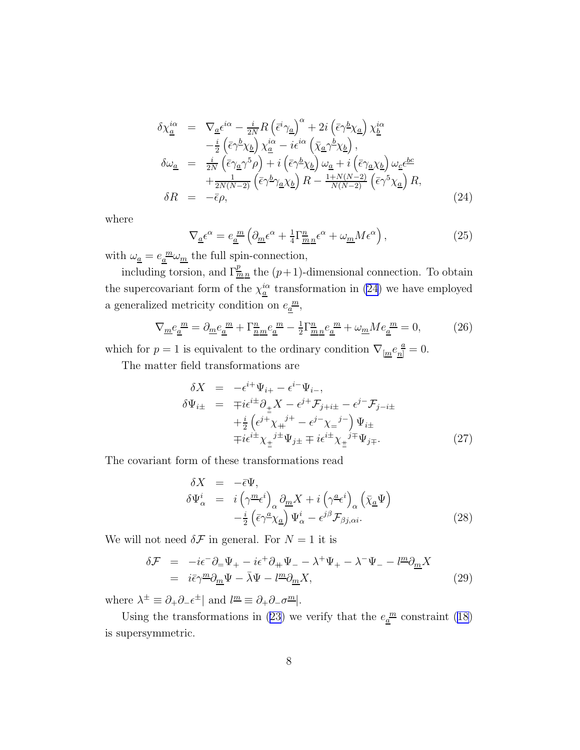$$
\delta \chi_{\underline{a}}^{i\alpha} = \nabla_{\underline{a}} \epsilon^{i\alpha} - \frac{i}{2N} R \left( \bar{\epsilon}^i \gamma_{\underline{a}} \right)^{\alpha} + 2i \left( \bar{\epsilon} \gamma^{\underline{b}} \chi_{\underline{a}} \right) \chi_{\underline{b}}^{i\alpha} \n- \frac{i}{2} \left( \bar{\epsilon} \gamma^{\underline{b}} \chi_{\underline{b}} \right) \chi_{\underline{a}}^{i\alpha} - i \epsilon^{i\alpha} \left( \bar{\chi}_{\underline{a}} \gamma^{\underline{b}} \chi_{\underline{b}} \right), \n\delta \omega_{\underline{a}} = \frac{i}{2N} \left( \bar{\epsilon} \gamma_{\underline{a}} \gamma^5 \rho \right) + i \left( \bar{\epsilon} \gamma^{\underline{b}} \chi_{\underline{b}} \right) \omega_{\underline{a}} + i \left( \bar{\epsilon} \gamma_{\underline{a}} \chi_{\underline{b}} \right) \omega_{\underline{c}} \epsilon^{b c} \n+ \frac{1}{2N(N-2)} \left( \bar{\epsilon} \gamma^{\underline{b}} \gamma_{\underline{a}} \chi_{\underline{b}} \right) R - \frac{1+N(N-2)}{N(N-2)} \left( \bar{\epsilon} \gamma^5 \chi_{\underline{a}} \right) R, \n\delta R = -\bar{\epsilon} \rho, \tag{24}
$$

where

$$
\nabla_{\underline{a}} \epsilon^{\alpha} = e_{\underline{a}}^{m} \left( \partial_{\underline{m}} \epsilon^{\alpha} + \frac{1}{4} \Gamma_{\underline{m} \underline{n}}^{\underline{n}} \epsilon^{\alpha} + \omega_{\underline{m}} M \epsilon^{\alpha} \right), \qquad (25)
$$

with  $\omega_{\underline{a}} = e_{\underline{a}}^{\underline{m}} \omega_{\underline{m}}$  the full spin-connection,

including torsion, and  $\Gamma^p_{\underline{m}n}$  the  $(p+1)$ -dimensional connection. To obtain the supercovariant form of the  $\chi_{\underline{a}}^{i\alpha}$  transformation in [\(24](#page-7-0)) we have employed a generalized metricity condition on  $e_{\underline{a}}^{\underline{m}},$ 

$$
\nabla_{\underline{m}} e_{\underline{a}}^{\ \underline{m}} = \partial_{\underline{m}} e_{\underline{a}}^{\ \underline{m}} + \Gamma_{\underline{n}\underline{m}}^{\underline{n}} e_{\underline{a}}^{\ \underline{m}} - \frac{1}{2} \Gamma_{\underline{m}\underline{n}}^{\underline{n}} e_{\underline{a}}^{\ \underline{m}} + \omega_{\underline{m}} M e_{\underline{a}}^{\ \underline{m}} = 0,\tag{26}
$$

which for  $p = 1$  is equivalent to the ordinary condition  $\nabla_{\mu} e_{\mu}^{\ \hat{a}} = 0$ .

The matter field transformations are

$$
\delta X = -\epsilon^{i+} \Psi_{i+} - \epsilon^{i-} \Psi_{i-},
$$
  
\n
$$
\delta \Psi_{i\pm} = \mp i \epsilon^{i\pm} \partial_{\pm} X - \epsilon^{j+} \mathcal{F}_{j+i\pm} - \epsilon^{j-} \mathcal{F}_{j-i\pm}
$$
  
\n
$$
+ \frac{i}{2} \left( \epsilon^{j+} \chi_{+}^{j+} - \epsilon^{j-} \chi_{-}^{j-} \right) \Psi_{i\pm}
$$
  
\n
$$
\mp i \epsilon^{i\pm} \chi_{\pm}^{j\pm} \Psi_{j\pm} \mp i \epsilon^{i\pm} \chi_{\pm}^{j\mp} \Psi_{j\mp}.
$$
\n(27)

The covariant form of these transformations read

$$
\delta X = -\bar{\epsilon}\Psi,
$$
  
\n
$$
\delta\Psi_{\alpha}^{i} = i\left(\gamma^{\underline{m}}\epsilon^{i}\right)_{\alpha}\partial_{\underline{m}}X + i\left(\gamma^{\underline{a}}\epsilon^{i}\right)_{\alpha}\left(\bar{\chi}_{\underline{a}}\Psi\right)
$$
  
\n
$$
-\frac{i}{2}\left(\bar{\epsilon}\gamma^{\underline{a}}\chi_{\underline{a}}\right)\Psi_{\alpha}^{i} - \epsilon^{j\beta}\mathcal{F}_{\beta j,\alpha i}.
$$
\n(28)

We will not need  $\delta \mathcal{F}$  in general. For  $N = 1$  it is

$$
\delta \mathcal{F} = -i\epsilon^{-} \partial_{=} \Psi_{+} - i\epsilon^{+} \partial_{+} \Psi_{-} - \lambda^{+} \Psi_{+} - \lambda^{-} \Psi_{-} - l^{\underline{m}} \partial_{\underline{m}} X \n= i\bar{\epsilon} \gamma^{\underline{m}} \partial_{\underline{m}} \Psi - \bar{\lambda} \Psi - l^{\underline{m}} \partial_{\underline{m}} X,
$$
\n(29)

where  $\lambda^{\pm} \equiv \partial_{+}\partial_{-}\epsilon^{\pm}$  and  $\ell^{\underline{m}} \equiv \partial_{+}\partial_{-}\sigma^{\underline{m}}$ .

Using the transformations in [\(23\)](#page-7-0) we verify that the  $e_{\frac{\alpha}{a}}^{\frac{m}{2}}$  constraint [\(18\)](#page-6-0) is supersymmetric.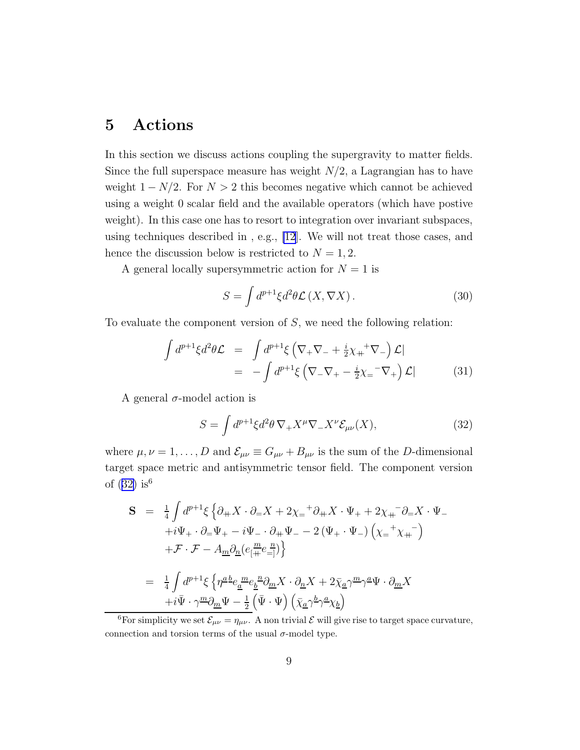## <span id="page-9-0"></span>5 Actions

In this section we discuss actions coupling the supergravity to matter fields. Since the full superspace measure has weight  $N/2$ , a Lagrangian has to have weight  $1 - N/2$ . For  $N > 2$  this becomes negative which cannot be achieved using a weight 0 scalar field and the available operators (which have postive weight). In this case one has to resort to integration over invariant subspaces, using techniques described in , e.g., [\[12](#page-16-0)]. We will not treat those cases, and hence the discussion below is restricted to  $N = 1, 2$ .

A general locally supersymmetric action for  $N = 1$  is

$$
S = \int d^{p+1}\xi d^2\theta \mathcal{L}(X, \nabla X). \tag{30}
$$

To evaluate the component version of  $S$ , we need the following relation:

$$
\int d^{p+1}\xi d^2\theta \mathcal{L} = \int d^{p+1}\xi \left( \nabla_+ \nabla_- + \frac{i}{2} \chi_+^+ \nabla_- \right) \mathcal{L} |
$$
  
= 
$$
- \int d^{p+1}\xi \left( \nabla_- \nabla_+ - \frac{i}{2} \chi_-^+ \nabla_+ \right) \mathcal{L} |
$$
(31)

A general  $\sigma$ -model action is

$$
S = \int d^{p+1}\xi d^2\theta \,\nabla_+ X^\mu \nabla_- X^\nu \mathcal{E}_{\mu\nu}(X),\tag{32}
$$

where  $\mu, \nu = 1, ..., D$  and  $\mathcal{E}_{\mu\nu} \equiv G_{\mu\nu} + B_{\mu\nu}$  is the sum of the D-dimensional target space metric and antisymmetric tensor field. The component version of  $(32)$  is<sup>6</sup>

$$
\begin{array}{rcl} \mathbf{S} & = & \frac{1}{4} \int d^{p+1} \xi \left\{ \partial_{+} X \cdot \partial_{=} X + 2 \chi_{=}{}^{+} \partial_{+} X \cdot \Psi_{+} + 2 \chi_{+}{}^{-} \partial_{=} X \cdot \Psi_{-} \right. \\ & & \left. + i \Psi_{+} \cdot \partial_{=} \Psi_{+} - i \Psi_{-} \cdot \partial_{+} \Psi_{-} - 2 \left( \Psi_{+} \cdot \Psi_{-} \right) \left( \chi_{=}{}^{+} \chi_{+}{}^{-} \right) \right. \\ & & \left. + \mathcal{F} \cdot \mathcal{F} - A_{\underline{m}} \partial_{\underline{n}} (e_{[\pm}{}^{m} e_{\mp]}) \right\} \\ & = & \frac{1}{4} \int d^{p+1} \xi \left\{ \eta^{\underline{a} \underline{b}} e_{\underline{a}}{}^{m} e_{\underline{b}}{}^{\underline{n}} \partial_{\underline{m}} X \cdot \partial_{\underline{n}} X + 2 \bar{\chi}_{\underline{a}} \gamma^{\underline{m}} \gamma^{\underline{a}} \Psi \cdot \partial_{\underline{m}} X \right. \\ & & \left. + i \bar{\Psi} \cdot \gamma^{\underline{m}} \partial_{\underline{m}} \Psi - \frac{1}{2} \left( \bar{\Psi} \cdot \Psi \right) \left( \bar{\chi}_{\underline{a}} \gamma^{\underline{b}} \gamma^{\underline{a}} \chi_{\underline{b}} \right) \right. \end{array}
$$

<sup>&</sup>lt;sup>6</sup>For simplicity we set  $\mathcal{E}_{\mu\nu} = \eta_{\mu\nu}$ . A non trivial  $\mathcal E$  will give rise to target space curvature, connection and torsion terms of the usual  $\sigma$ -model type.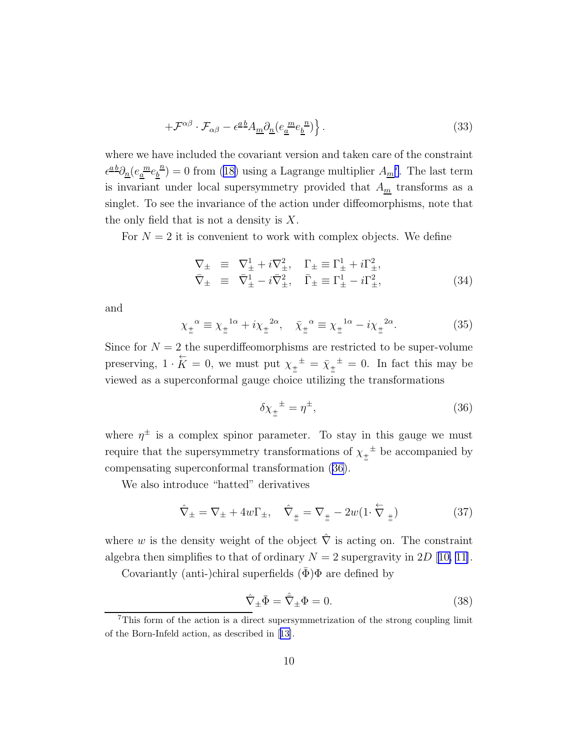$$
+\mathcal{F}^{\alpha\beta}\cdot\mathcal{F}_{\alpha\beta}-\epsilon^{\underline{a}\,\underline{b}}A_{\underline{m}}\partial_{\underline{n}}(e_{\underline{a}}^{\underline{m}}e_{\underline{b}}^{\underline{n}})\Big\}.
$$
 (33)

where we have included the covariant version and taken care of the constraint  $\epsilon^{\underline{a}\,\underline{b}}\partial_{\underline{n}}(e_{\underline{a}}{}^{\underline{m}}e_{\underline{b}}{}^{\underline{n}}$  $\frac{b}{b}$  = 0 from [\(18\)](#page-6-0) using a Lagrange multiplier  $A_{m}$ <sup>7</sup>. The last term is invariant under local supersymmetry provided that  $A_m$  transforms as a singlet. To see the invariance of the action under diffeomorphisms, note that the only field that is not a density is  $X$ .

For  $N = 2$  it is convenient to work with complex objects. We define

$$
\nabla_{\pm} \equiv \nabla_{\pm}^{1} + i \nabla_{\pm}^{2}, \quad \Gamma_{\pm} \equiv \Gamma_{\pm}^{1} + i \Gamma_{\pm}^{2}, \n\bar{\nabla}_{\pm} \equiv \bar{\nabla}_{\pm}^{1} - i \bar{\nabla}_{\pm}^{2}, \quad \bar{\Gamma}_{\pm} \equiv \Gamma_{\pm}^{1} - i \Gamma_{\pm}^{2},
$$
\n(34)

and

$$
\chi_{\pm}^{\alpha} \equiv \chi_{\pm}^{\alpha} + i\chi_{\pm}^{2\alpha}, \quad \bar{\chi}_{\pm}^{\alpha} \equiv \chi_{\pm}^{\alpha} - i\chi_{\pm}^{2\alpha}.
$$
 (35)

Since for  $N = 2$  the superdiffeomorphisms are restricted to be super-volume preserving,  $1 \cdot \overleftrightarrow{K} = 0$ , we must put  $\chi_{\pm}^{\pm} = \overline{\chi}_{\pm}^{\pm} = 0$ . In fact this may be viewed as a superconformal gauge choice utilizing the transformations

$$
\delta \chi_{\pm}^{\pm} = \eta^{\pm},\tag{36}
$$

where  $\eta^{\pm}$  is a complex spinor parameter. To stay in this gauge we must require that the supersymmetry transformations of  $\chi_{\pm}^{\pm}$  be accompanied by compensating superconformal transformation (36).

We also introduce "hatted" derivatives

$$
\hat{\nabla}_{\pm} = \nabla_{\pm} + 4w\Gamma_{\pm}, \quad \hat{\nabla}_{\pm} = \nabla_{\pm} - 2w(1 \cdot \stackrel{\leftarrow}{\nabla}_{\pm}) \tag{37}
$$

where w is the density weight of the object  $\hat{\nabla}$  is acting on. The constraint algebra then simplifies to that of ordinary  $N = 2$  supergravity in 2D [[10, 11\]](#page-16-0).

Covariantly (anti-)chiral superfields  $(\bar{\Phi})\Phi$  are defined by

$$
\hat{\nabla}_{\pm}\bar{\Phi} = \hat{\nabla}_{\pm}\Phi = 0.
$$
\n(38)

<sup>7</sup>This form of the action is a direct supersymmetrization of the strong coupling limit of the Born-Infeld action, as described in[[13\]](#page-16-0).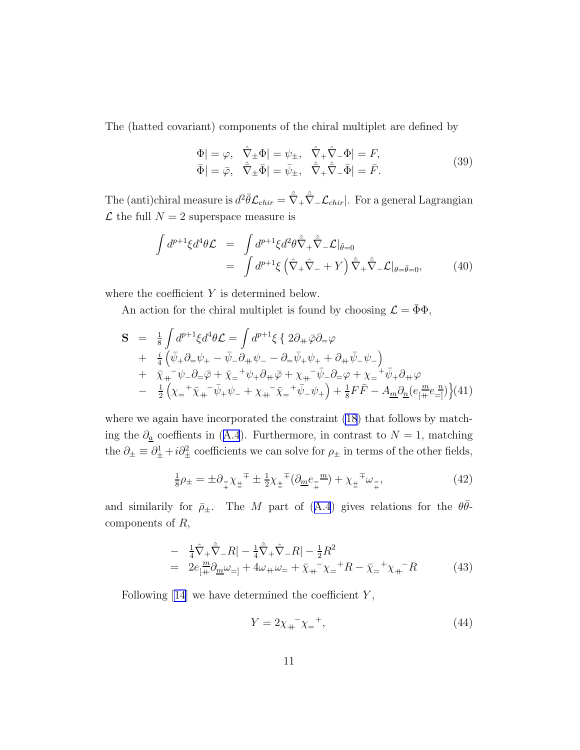<span id="page-11-0"></span>The (hatted covariant) components of the chiral multiplet are defined by

$$
\begin{aligned}\n\Phi| &= \varphi, \quad \hat{\nabla}_{\pm} \Phi| = \psi_{\pm}, \quad \hat{\nabla}_{+} \hat{\nabla}_{-} \Phi| = F, \\
\bar{\Phi}| &= \bar{\varphi}, \quad \hat{\bar{\nabla}}_{\pm} \bar{\Phi}| = \bar{\psi}_{\pm}, \quad \hat{\bar{\nabla}}_{+} \hat{\bar{\nabla}}_{-} \bar{\Phi}| = \bar{F}.\n\end{aligned} \tag{39}
$$

The (anti)chiral measure is  $d^2\bar{\theta} \mathcal{L}_{chir} = \hat{\bar{\nabla}}_+ \hat{\bar{\nabla}}_- \mathcal{L}_{chir} |$ . For a general Lagrangian  $\mathcal L$  the full  $N = 2$  superspace measure is

$$
\int d^{p+1}\xi d^4\theta \mathcal{L} = \int d^{p+1}\xi d^2\theta \hat{\nabla}_+ \hat{\nabla}_- \mathcal{L}|_{\bar{\theta}=0}
$$
  
= 
$$
\int d^{p+1}\xi \left(\hat{\nabla}_+ \hat{\nabla}_- + Y\right) \hat{\nabla}_+ \hat{\nabla}_- \mathcal{L}|_{\theta=\bar{\theta}=0},
$$
 (40)

where the coefficient  $Y$  is determined below.

An action for the chiral multiplet is found by choosing  $\mathcal{L} = \bar{\Phi}\Phi$ ,

$$
\mathbf{S} = \frac{1}{8} \int d^{p+1} \xi d^4 \theta \mathcal{L} = \int d^{p+1} \xi \{ 2 \partial_+ \bar{\varphi} \partial_- \varphi \n+ \frac{i}{4} (\bar{\psi}_+ \partial_- \psi_+ - \bar{\psi}_- \partial_+ \psi_- - \partial_- \bar{\psi}_+ \psi_+ + \partial_+ \bar{\psi}_- \psi_-) \n+ \bar{\chi}_+^{-} \psi_- \partial_- \bar{\varphi} + \bar{\chi}_-^{-} \psi_+ \partial_+ \bar{\varphi} + \chi_+^{-} \bar{\psi}_- \partial_- \varphi + \chi_-^{-} \bar{\psi}_+ \partial_+ \varphi \n- \frac{1}{2} (\chi_-^{-} \bar{\chi}_+^{-} \bar{\psi}_+ \psi_- + \chi_+^{-} \bar{\chi}_-^{-} \bar{\psi}_- \psi_+) + \frac{1}{8} F \bar{F} - A_{\underline{m}} \partial_{\underline{n}} (e_{\underline{m}}^{\underline{m}} e_{\underline{-n}}^{\underline{n}}) \} (41)
$$

where we again have incorporated the constraint  $(18)$  that follows by matchingthe  $\partial_{\underline{a}}$  coeffients in ([A.4](#page-14-0)). Furthermore, in contrast to  $N=1$ , matching the  $\partial_{\pm} \equiv \partial_{\pm}^1 + i \partial_{\pm}^2$  coefficients we can solve for  $\rho_{\pm}$  in terms of the other fields,

$$
\frac{1}{8}\rho_{\pm} = \pm \partial_{\frac{\pi}{4}} \chi_{\pm}^{\mp} \pm \frac{1}{2} \chi_{\pm}^{\mp} (\partial_{\underline{m}} e_{\mp}^{\mp} \underline{m}) + \chi_{\pm}^{\mp} \omega_{\mp}, \tag{42}
$$

andsimilarily for  $\bar{\rho}_{\pm}$ . The M part of ([A.4](#page-14-0)) gives relations for the  $\theta\bar{\theta}$ components of R,

$$
- \frac{1}{4}\hat{\nabla}_{+}\hat{\nabla}_{-}R| - \frac{1}{4}\hat{\nabla}_{+}\hat{\nabla}_{-}R| - \frac{1}{2}R^{2}
$$
  
=  $2e_{\left[\frac{m}{4} \partial_{\underline{m}}\omega_{=}\right]} + 4\omega_{+}\omega_{-} + \bar{\chi}_{+}^{-}\chi_{-}^{+}R - \bar{\chi}_{-}^{-}+\chi_{+}^{-}R$  (43)

Following  $[14]$  we have determined the coefficient Y,

$$
Y = 2\chi_{+}^{-} \chi_{-}^{-} , \tag{44}
$$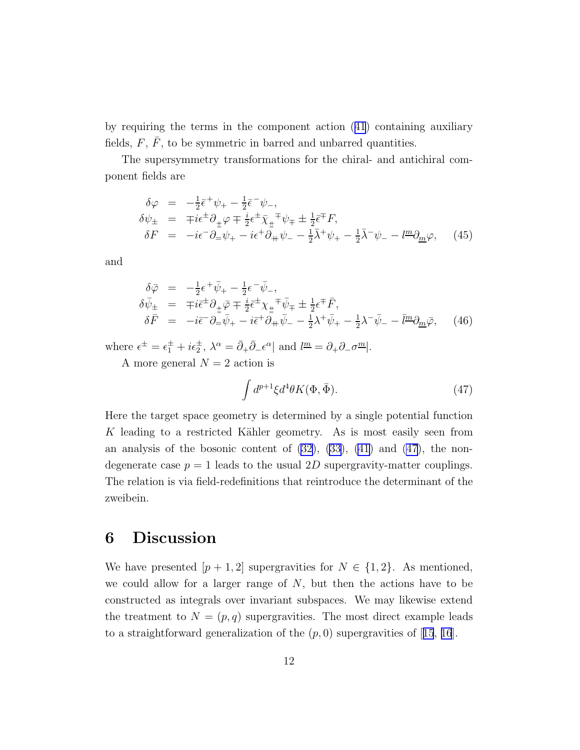by requiring the terms in the component action([41](#page-11-0)) containing auxiliary fields,  $F$ ,  $F$ , to be symmetric in barred and unbarred quantities.

The supersymmetry transformations for the chiral- and antichiral component fields are

$$
\delta \varphi = -\frac{1}{2} \bar{\epsilon}^+ \psi_+ - \frac{1}{2} \bar{\epsilon}^- \psi_-, \n\delta \psi_{\pm} = \mp i \epsilon^{\pm} \partial_{\pm} \varphi \mp \frac{i}{2} \epsilon^{\pm} \bar{\chi}_{\pm}^{\mp} \psi_{\mp} \pm \frac{1}{2} \bar{\epsilon}^{\mp} F, \n\delta F = -i \epsilon^- \partial_{\mp} \psi_+ - i \epsilon^+ \partial_{\mp} \psi_- - \frac{1}{2} \bar{\lambda}^+ \psi_+ - \frac{1}{2} \bar{\lambda}^- \psi_- - l^{\underline{m}} \partial_{\underline{m}} \varphi, \quad (45)
$$

and

$$
\delta \bar{\varphi} = -\frac{1}{2} \epsilon^+ \bar{\psi}_+ - \frac{1}{2} \epsilon^- \bar{\psi}_-, \n\delta \bar{\psi}_\pm = \mp i \bar{\epsilon}^\pm \partial_{\pm} \bar{\varphi} \mp \frac{i}{2} \bar{\epsilon}^\pm \chi_{\pm}{}^{\mp} \bar{\psi}_\mp \pm \frac{1}{2} \epsilon^{\mp} \bar{F}, \n\delta \bar{F} = -i \bar{\epsilon}^- \partial_{\mp} \bar{\psi}_+ - i \bar{\epsilon}^+ \partial_{\mp} \bar{\psi}_- - \frac{1}{2} \lambda^+ \bar{\psi}_+ - \frac{1}{2} \lambda^- \bar{\psi}_- - \bar{l} \bar{m} \partial_{\underline{m}} \bar{\varphi}, \qquad (46)
$$

where  $\epsilon^{\pm} = \epsilon_1^{\pm} + i\epsilon_2^{\pm}$ ,  $\lambda^{\alpha} = \bar{\partial}_{+}\bar{\partial}_{-}\epsilon^{\alpha}$  and  $l^{\underline{m}} = \partial_{+}\partial_{-}\sigma^{\underline{m}}$ .

A more general  $N = 2$  action is

$$
\int d^{p+1}\xi d^4\theta K(\Phi, \bar{\Phi}).\tag{47}
$$

Here the target space geometry is determined by a single potential function K leading to a restricted Kähler geometry. As is most easily seen from an analysis of the bosonic content of  $(32)$ ,  $(33)$ ,  $(41)$  and  $(47)$ , the nondegenerate case  $p = 1$  leads to the usual 2D supergravity-matter couplings. The relation is via field-redefinitions that reintroduce the determinant of the zweibein.

## 6 Discussion

We have presented  $[p+1,2]$  supergravities for  $N \in \{1,2\}$ . As mentioned, we could allow for a larger range of  $N$ , but then the actions have to be constructed as integrals over invariant subspaces. We may likewise extend the treatment to  $N = (p, q)$  supergravities. The most direct example leads toa straightforward generalization of the  $(p, 0)$  supergravities of [[15](#page-16-0), [16](#page-17-0)].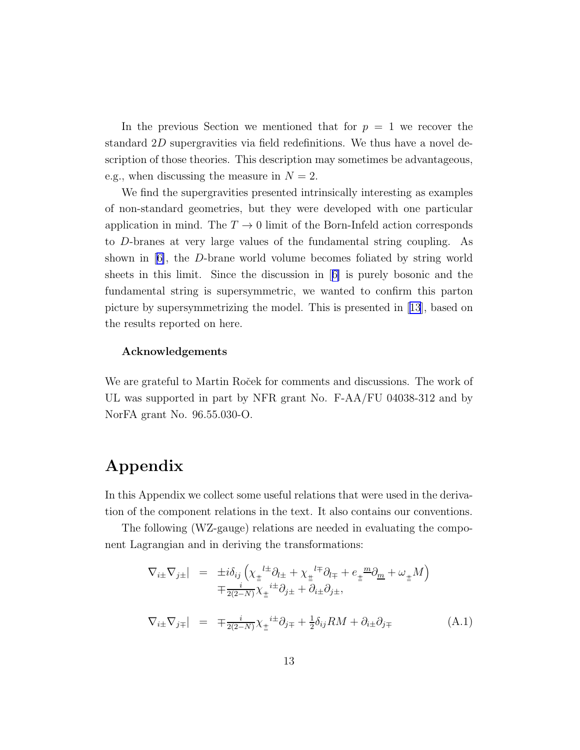<span id="page-13-0"></span>In the previous Section we mentioned that for  $p = 1$  we recover the standard 2D supergravities via field redefinitions. We thus have a novel description of those theories. This description may sometimes be advantageous, e.g., when discussing the measure in  $N = 2$ .

We find the supergravities presented intrinsically interesting as examples of non-standard geometries, but they were developed with one particular application in mind. The  $T \to 0$  limit of the Born-Infeld action corresponds to D-branes at very large values of the fundamental string coupling. As shown in[[6\]](#page-16-0), the D-brane world volume becomes foliated by string world sheets in this limit. Since the discussion in[[6\]](#page-16-0) is purely bosonic and the fundamental string is supersymmetric, we wanted to confirm this parton picture by supersymmetrizing the model. This is presented in[[13](#page-16-0)], based on the results reported on here.

#### Acknowledgements

We are grateful to Martin Ro $\check{c}$ ek for comments and discussions. The work of UL was supported in part by NFR grant No. F-AA/FU 04038-312 and by NorFA grant No. 96.55.030-O.

# Appendix

In this Appendix we collect some useful relations that were used in the derivation of the component relations in the text. It also contains our conventions.

The following (WZ-gauge) relations are needed in evaluating the component Lagrangian and in deriving the transformations:

$$
\nabla_{i\pm}\nabla_{j\pm}| = \pm i\delta_{ij}\left(\chi_{\pm}^{l\pm}\partial_{l\pm} + \chi_{\pm}^{l\mp}\partial_{l\mp} + e_{\pm}^{m\pm}\partial_{m} + \omega_{\pm}M\right) \n\mp \frac{i}{2(2-N)}\chi_{\pm}^{i\pm}\partial_{j\pm} + \partial_{i\pm}\partial_{j\pm},
$$
\n
$$
\nabla_{i\pm}\nabla_{j\mp}| = \mp \frac{i}{2(2-N)}\chi_{\pm}^{i\pm}\partial_{j\mp} + \frac{1}{2}\delta_{ij}RM + \partial_{i\pm}\partial_{j\mp}
$$
\n(A.1)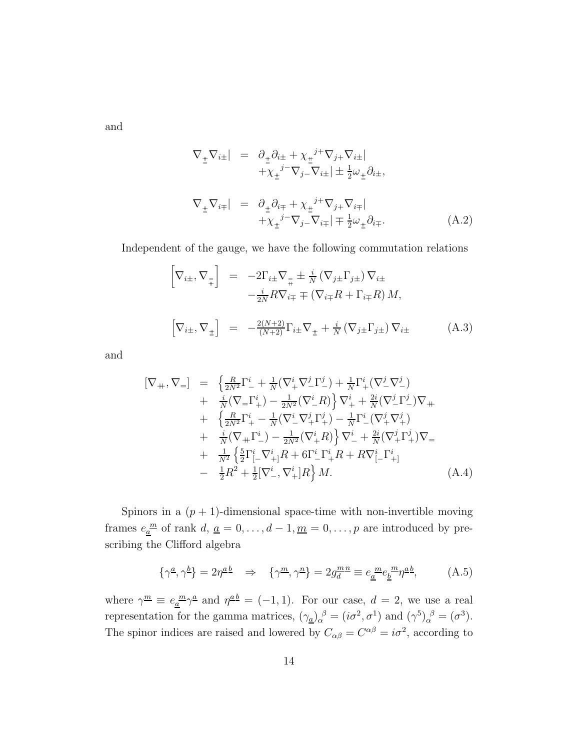<span id="page-14-0"></span>and

$$
\nabla_{\pm} \nabla_{i\pm}| = \partial_{\pm} \partial_{i\pm} + \chi_{\pm}{}^{j+} \nabla_{j+} \nabla_{i\pm}| \n+ \chi_{\pm}{}^{j-} \nabla_{j-} \nabla_{i\pm}| \pm \frac{1}{2} \omega_{\pm} \partial_{i\pm}, \n\nabla_{\pm} \nabla_{i\mp}| = \partial_{\pm} \partial_{i\mp} + \chi_{\pm}{}^{j+} \nabla_{j+} \nabla_{i\mp}| \n+ \chi_{\pm}{}^{j-} \nabla_{j-} \nabla_{i\mp}| \mp \frac{1}{2} \omega_{\pm} \partial_{i\mp}.
$$
\n(A.2)

Independent of the gauge, we have the following commutation relations

$$
\begin{bmatrix}\n\nabla_{i\pm}, \nabla_{\frac{1}{\mp}}\n\end{bmatrix} = -2\Gamma_{i\pm}\nabla_{\frac{1}{\mp}} \pm \frac{i}{N} (\nabla_{j\pm}\Gamma_{j\pm}) \nabla_{i\pm}\n- \frac{i}{2N} R \nabla_{i\mp} \mp (\nabla_{i\mp} R + \Gamma_{i\mp} R) M,\n\begin{bmatrix}\n\nabla_{i\pm}, \nabla_{\frac{1}{\pm}}\n\end{bmatrix} = -\frac{2(N+2)}{(N+2)} \Gamma_{i\pm}\nabla_{\frac{1}{\pm}} + \frac{i}{N} (\nabla_{j\pm}\Gamma_{j\pm}) \nabla_{i\pm}
$$
\n(A.3)

and

$$
[\nabla_{+}, \nabla_{=}] = \left\{ \frac{R}{2N^{2}} \Gamma_{-}^{i} + \frac{1}{N} (\nabla_{+}^{i} \nabla_{-}^{j} \Gamma_{-}^{j}) + \frac{1}{N} \Gamma_{+}^{i} (\nabla_{-}^{j} \nabla_{-}^{j}) + \frac{i}{N} (\nabla_{=} \Gamma_{+}^{i}) - \frac{1}{2N^{2}} (\nabla_{-}^{i} R) \right\} \nabla_{+}^{i} + \frac{2i}{N} (\nabla_{-}^{j} \Gamma_{-}^{j}) \nabla_{+} + \left\{ \frac{R}{2N^{2}} \Gamma_{+}^{i} - \frac{1}{N} (\nabla_{-}^{i} \nabla_{+}^{j} \Gamma_{+}^{j}) - \frac{1}{N} \Gamma_{-}^{i} (\nabla_{+}^{j} \nabla_{+}^{j}) + \frac{i}{N} (\nabla_{+} \Gamma_{-}^{i}) - \frac{1}{2N^{2}} (\nabla_{+}^{i} R) \right\} \nabla_{-}^{i} + \frac{2i}{N} (\nabla_{+}^{j} \Gamma_{+}^{j}) \nabla_{=} + \frac{1}{N^{2}} \left\{ \frac{5}{2} \Gamma_{[-}^{i} \nabla_{+}^{i} R + 6 \Gamma_{-}^{i} \Gamma_{+}^{i} R + R \nabla_{[-}^{i} \Gamma_{+}^{i}] - \frac{1}{2} R^{2} + \frac{1}{2} [\nabla_{-}^{i}, \nabla_{+}^{i}] R \right\} M.
$$
\n(A.4)

Spinors in a  $(p + 1)$ -dimensional space-time with non-invertible moving frames  $e_{\underline{a}}^{\underline{m}}$  of rank  $d, \underline{a} = 0, \ldots, d - 1, \underline{m} = 0, \ldots, p$  are introduced by prescribing the Clifford algebra

$$
\{\gamma^{\underline{a}}, \gamma^{\underline{b}}\} = 2\eta^{\underline{a}\,\underline{b}} \quad \Rightarrow \quad \{\gamma^{\underline{m}}, \gamma^{\underline{n}}\} = 2g_d^{\underline{m}\,\underline{n}} \equiv e_{\underline{a}}{}^{\underline{m}} e_{\underline{b}}{}^{\underline{m}} \eta^{\underline{a}\,\underline{b}}, \tag{A.5}
$$

where  $\gamma^{\underline{m}} \equiv e_{\underline{a}}^{\underline{m}} \gamma^{\underline{a}}$  and  $\eta^{\underline{a}\underline{b}} = (-1, 1)$ . For our case,  $d = 2$ , we use a real representation for the gamma matrices,  $(\gamma_{\underline{a}})_{\alpha}^{\beta} = (i\sigma^2, \sigma^1)$  and  $(\gamma^5)_{\alpha}^{\beta} = (\sigma^3)$ . The spinor indices are raised and lowered by  $C_{\alpha\beta} = C^{\alpha\beta} = i\sigma^2$ , according to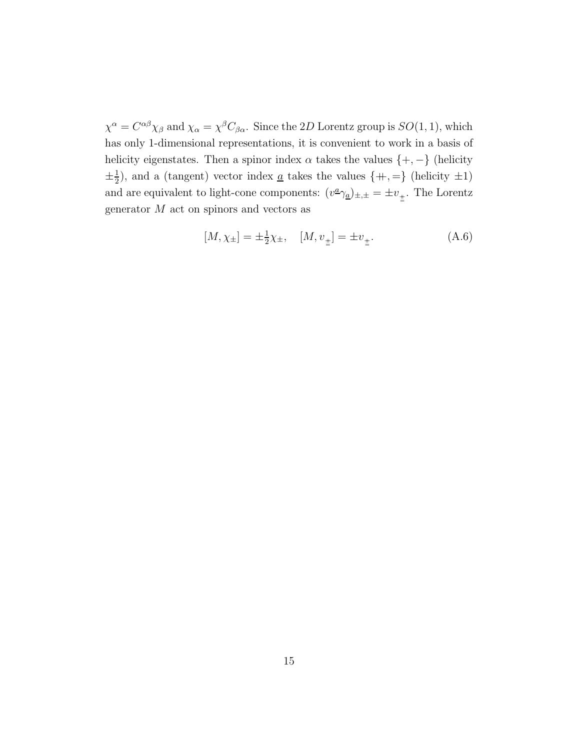$\chi^{\alpha} = C^{\alpha\beta}\chi_{\beta}$  and  $\chi_{\alpha} = \chi^{\beta}C_{\beta\alpha}$ . Since the 2D Lorentz group is  $SO(1,1)$ , which has only 1-dimensional representations, it is convenient to work in a basis of helicity eigenstates. Then a spinor index  $\alpha$  takes the values  $\{+,-\}$  (helicity  $\pm\frac{1}{2}$  $\frac{1}{2}$ , and a (tangent) vector index <u>a</u> takes the values  $\{+,=\}$  (helicity  $\pm 1$ ) and are equivalent to light-cone components:  $(v^{\underline{a}}\gamma_{\underline{a}})_{\pm,\pm} = \pm v_{\pm}$ . The Lorentz generator  $M$  act on spinors and vectors as

$$
[M, \chi_{\pm}] = \pm \frac{1}{2} \chi_{\pm}, \quad [M, v_{\pm}] = \pm v_{\pm}.
$$
 (A.6)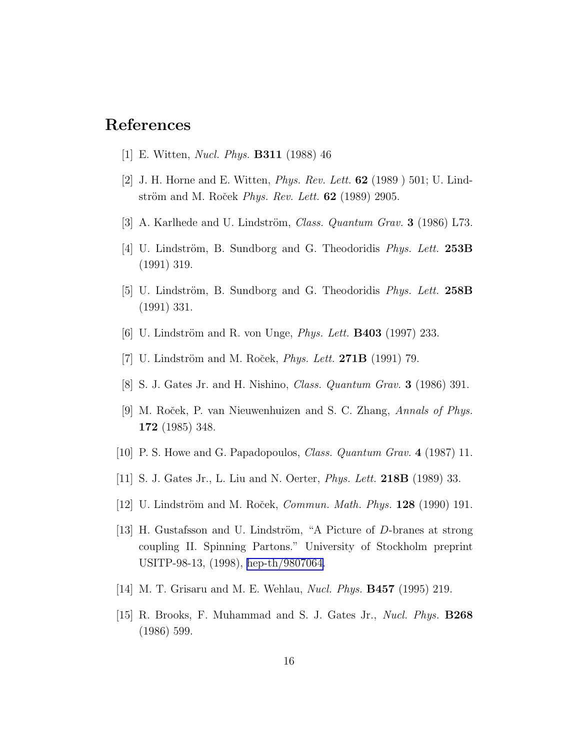#### <span id="page-16-0"></span>References

- [1] E. Witten, Nucl. Phys. B311 (1988) 46
- [2] J. H. Horne and E. Witten, Phys. Rev. Lett. 62 (1989 ) 501; U. Lindström and M. Roček *Phys. Rev. Lett.*  $62$  (1989) 2905.
- [3] A. Karlhede and U. Lindström, *Class. Quantum Grav.* **3** (1986) L73.
- [4] U. Lindström, B. Sundborg and G. Theodoridis *Phys. Lett.* **253B** (1991) 319.
- [5] U. Lindström, B. Sundborg and G. Theodoridis *Phys. Lett.* 258B (1991) 331.
- [6] U. Lindström and R. von Unge, *Phys. Lett.* **B403** (1997) 233.
- [7] U. Lindström and M. Roček,  $Phys. Lett. 271B (1991) 79.$
- [8] S. J. Gates Jr. and H. Nishino, Class. Quantum Grav. 3 (1986) 391.
- [9] M. Roček, P. van Nieuwenhuizen and S. C. Zhang, Annals of Phys. 172 (1985) 348.
- [10] P. S. Howe and G. Papadopoulos, Class. Quantum Grav. 4 (1987) 11.
- [11] S. J. Gates Jr., L. Liu and N. Oerter, Phys. Lett. 218B (1989) 33.
- [12] U. Lindström and M. Roček, *Commun. Math. Phys.*  $128$  (1990) 191.
- [13] H. Gustafsson and U. Lindström, "A Picture of  $D$ -branes at strong coupling II. Spinning Partons." University of Stockholm preprint USITP-98-13, (1998), [hep-th/9807064.](http://arxiv.org/abs/hep-th/9807064)
- [14] M. T. Grisaru and M. E. Wehlau, *Nucl. Phys.* **B457** (1995) 219.
- [15] R. Brooks, F. Muhammad and S. J. Gates Jr., Nucl. Phys. B268 (1986) 599.